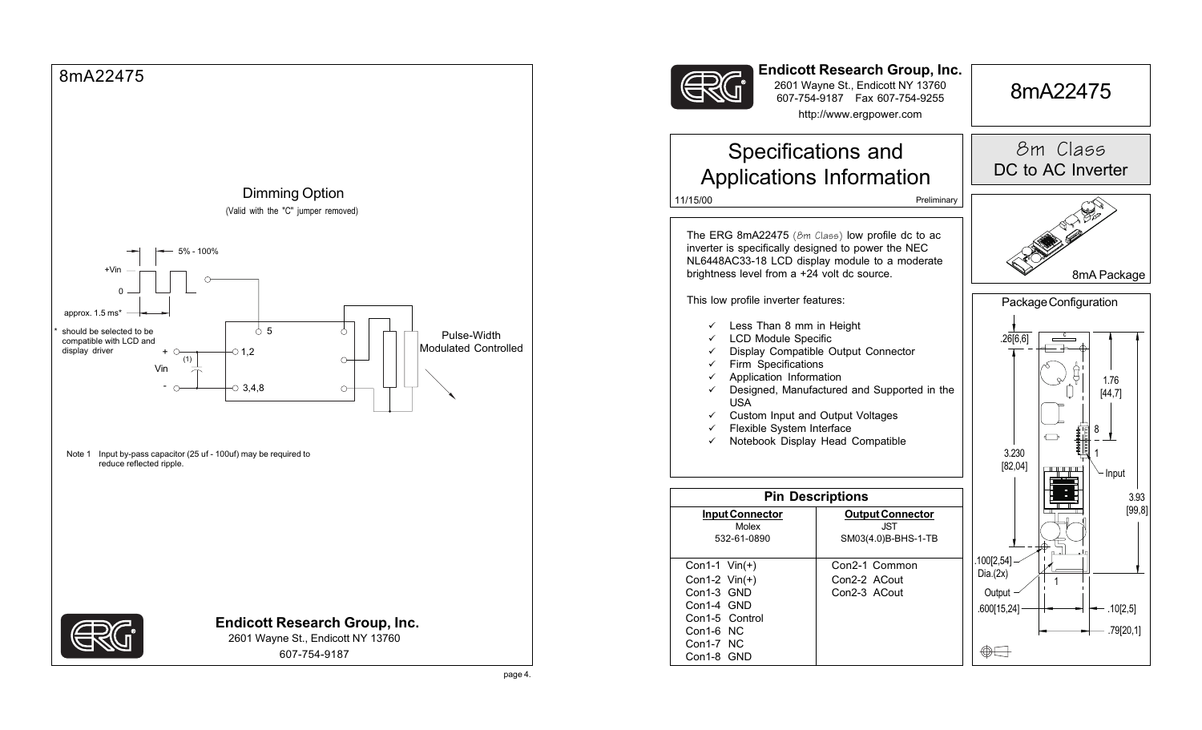